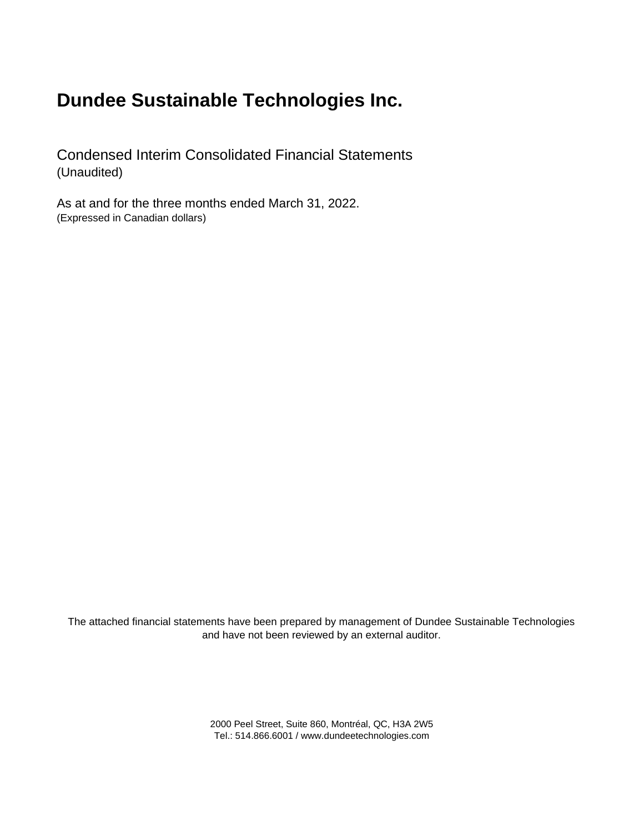Condensed Interim Consolidated Financial Statements (Unaudited)

As at and for the three months ended March 31, 2022. (Expressed in Canadian dollars)

The attached financial statements have been prepared by management of Dundee Sustainable Technologies and have not been reviewed by an external auditor.

> 2000 Peel Street, Suite 860, Montréal, QC, H3A 2W5 Tel.: 514.866.6001 / www.dundeetechnologies.com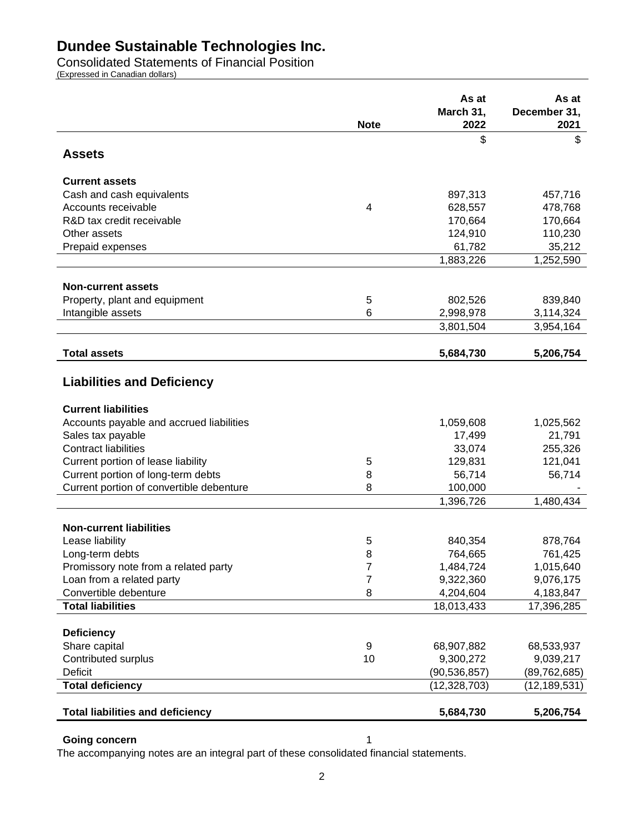Consolidated Statements of Financial Position

(Expressed in Canadian dollars)

|                                          |             | As at<br>March 31, | As at<br>December 31, |
|------------------------------------------|-------------|--------------------|-----------------------|
|                                          | <b>Note</b> | 2022               | 2021                  |
| <b>Assets</b>                            |             | \$                 | \$                    |
| <b>Current assets</b>                    |             |                    |                       |
| Cash and cash equivalents                |             | 897,313            | 457,716               |
| Accounts receivable                      | 4           | 628,557            | 478,768               |
| R&D tax credit receivable                |             | 170,664            | 170,664               |
| Other assets                             |             | 124,910            | 110,230               |
| Prepaid expenses                         |             | 61,782             | 35,212                |
|                                          |             | 1,883,226          | 1,252,590             |
| <b>Non-current assets</b>                |             |                    |                       |
| Property, plant and equipment            | 5           | 802,526            | 839,840               |
| Intangible assets                        | 6           | 2,998,978          | 3,114,324             |
|                                          |             | 3,801,504          | 3,954,164             |
|                                          |             |                    |                       |
| <b>Total assets</b>                      |             | 5,684,730          | 5,206,754             |
| <b>Liabilities and Deficiency</b>        |             |                    |                       |
| <b>Current liabilities</b>               |             |                    |                       |
| Accounts payable and accrued liabilities |             | 1,059,608          | 1,025,562             |
| Sales tax payable                        |             | 17,499             | 21,791                |
| <b>Contract liabilities</b>              |             | 33,074             | 255,326               |
| Current portion of lease liability       | 5           | 129,831            | 121,041               |
| Current portion of long-term debts       | 8           | 56,714             | 56,714                |
| Current portion of convertible debenture | 8           | 100,000            |                       |
|                                          |             | 1,396,726          | 1,480,434             |
| <b>Non-current liabilities</b>           |             |                    |                       |
| Lease liability                          | 5           | 840,354            | 878,764               |
| Long-term debts                          | 8           | 764,665            | 761,425               |
| Promissory note from a related party     | 7           | 1,484,724          | 1,015,640             |
| Loan from a related party                | 7           | 9,322,360          | 9,076,175             |
| Convertible debenture                    | 8           | 4,204,604          | 4,183,847             |
| <b>Total liabilities</b>                 |             | 18,013,433         | 17,396,285            |
|                                          |             |                    |                       |
| <b>Deficiency</b>                        |             |                    |                       |
| Share capital                            | 9           | 68,907,882         | 68,533,937            |
| Contributed surplus                      | 10          | 9,300,272          | 9,039,217             |
| Deficit                                  |             | (90, 536, 857)     | (89, 762, 685)        |
| <b>Total deficiency</b>                  |             | (12, 328, 703)     | (12, 189, 531)        |
| <b>Total liabilities and deficiency</b>  |             | 5,684,730          | 5,206,754             |

### **Going concern** 1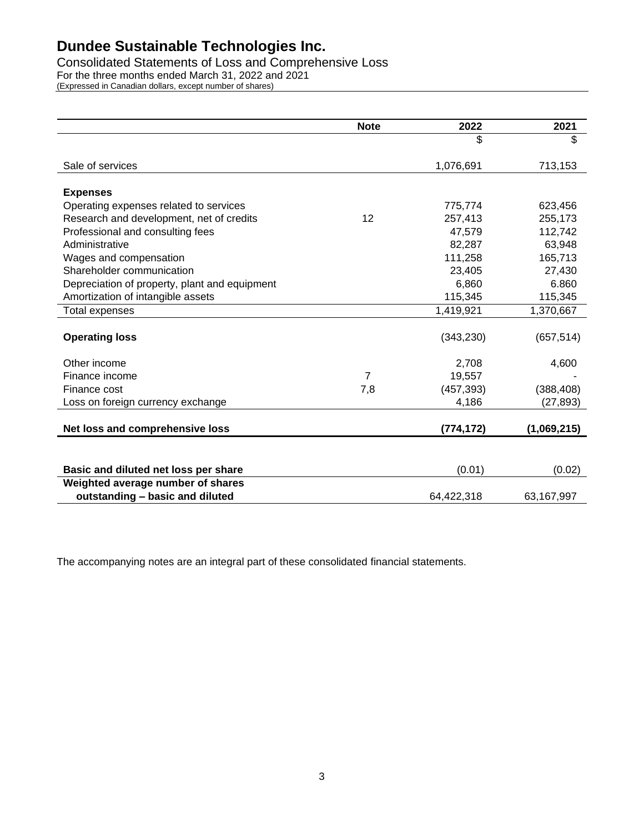Consolidated Statements of Loss and Comprehensive Loss For the three months ended March 31, 2022 and 2021 (Expressed in Canadian dollars, except number of shares)

|                                               | <b>Note</b> | 2022       | 2021        |
|-----------------------------------------------|-------------|------------|-------------|
|                                               |             | \$         | \$          |
| Sale of services                              |             | 1,076,691  | 713,153     |
|                                               |             |            |             |
| <b>Expenses</b>                               |             |            |             |
| Operating expenses related to services        |             | 775,774    | 623,456     |
| Research and development, net of credits      | 12          | 257,413    | 255,173     |
| Professional and consulting fees              |             | 47,579     | 112,742     |
| Administrative                                |             | 82,287     | 63,948      |
| Wages and compensation                        |             | 111,258    | 165,713     |
| Shareholder communication                     |             | 23,405     | 27,430      |
| Depreciation of property, plant and equipment |             | 6,860      | 6.860       |
| Amortization of intangible assets             |             | 115,345    | 115,345     |
| Total expenses                                |             | 1,419,921  | 1,370,667   |
| <b>Operating loss</b>                         |             | (343, 230) | (657, 514)  |
|                                               |             |            |             |
| Other income                                  |             | 2,708      | 4,600       |
| Finance income                                | 7           | 19,557     |             |
| Finance cost                                  | 7,8         | (457, 393) | (388, 408)  |
| Loss on foreign currency exchange             |             | 4,186      | (27, 893)   |
|                                               |             |            |             |
| Net loss and comprehensive loss               |             | (774, 172) | (1,069,215) |
|                                               |             |            |             |
| Basic and diluted net loss per share          |             | (0.01)     | (0.02)      |
| Weighted average number of shares             |             |            |             |
| outstanding - basic and diluted               |             | 64,422,318 | 63,167,997  |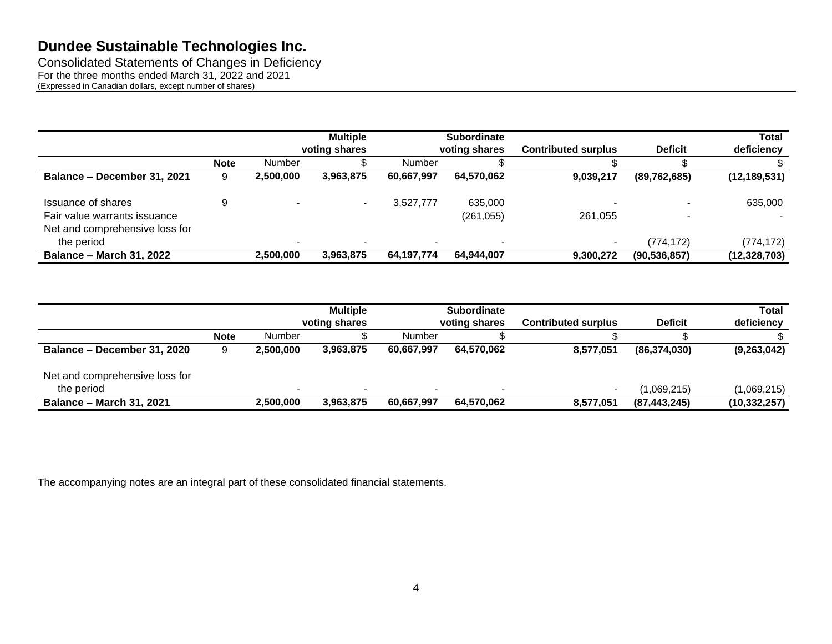Consolidated Statements of Changes in Deficiency For the three months ended March 31, 2022 and 2021 (Expressed in Canadian dollars, except number of shares)

|                                              |             |           | <b>Multiple</b> |            | <b>Subordinate</b> |                            |                | <b>Total</b>   |
|----------------------------------------------|-------------|-----------|-----------------|------------|--------------------|----------------------------|----------------|----------------|
|                                              |             |           | voting shares   |            | voting shares      | <b>Contributed surplus</b> | <b>Deficit</b> | deficiency     |
|                                              | <b>Note</b> | Number    |                 | Number     |                    |                            |                |                |
| Balance - December 31, 2021                  | 9           | 2,500,000 | 3,963,875       | 60,667,997 | 64,570,062         | 9,039,217                  | (89, 762, 685) | (12, 189, 531) |
| <b>Issuance of shares</b>                    | 9           |           | $\,$            | 3,527,777  | 635,000            |                            |                | 635,000        |
| Fair value warrants issuance                 |             |           |                 |            | (261, 055)         | 261,055                    |                |                |
| Net and comprehensive loss for<br>the period |             |           |                 |            |                    | $\,$ – $\,$                | (774, 172)     | (774, 172)     |
| <b>Balance - March 31, 2022</b>              |             | 2,500,000 | 3,963,875       | 64,197,774 | 64,944,007         | 9,300,272                  | (90, 536, 857) | (12, 328, 703) |

|                                              |             |           | <b>Multiple</b><br>voting shares |                          | <b>Subordinate</b><br>voting shares | <b>Contributed surplus</b> | <b>Deficit</b> | <b>Total</b><br>deficiency |
|----------------------------------------------|-------------|-----------|----------------------------------|--------------------------|-------------------------------------|----------------------------|----------------|----------------------------|
|                                              | <b>Note</b> | Number    |                                  | Number                   |                                     |                            |                |                            |
| Balance – December 31, 2020                  | 9           | 2.500.000 | 3,963,875                        | 60,667,997               | 64,570,062                          | 8,577,051                  | (86, 374, 030) | (9,263,042)                |
| Net and comprehensive loss for<br>the period |             |           | $\overline{\phantom{a}}$         | $\overline{\phantom{a}}$ |                                     |                            | (1,069,215)    | (1,069,215)                |
| <b>Balance - March 31, 2021</b>              |             | 2,500,000 | 3,963,875                        | 60,667,997               | 64,570,062                          | 8,577,051                  | (87, 443, 245) | (10, 332, 257)             |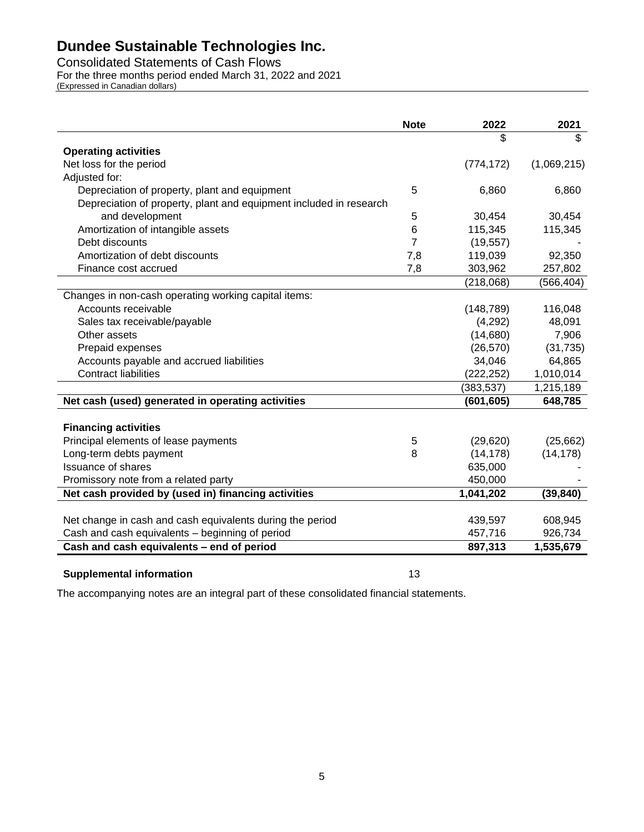Consolidated Statements of Cash Flows

For the three months period ended March 31, 2022 and 2021

(Expressed in Canadian dollars)

|                                                                    | <b>Note</b> | 2022       | 2021        |
|--------------------------------------------------------------------|-------------|------------|-------------|
|                                                                    |             | \$         | \$          |
| <b>Operating activities</b>                                        |             |            |             |
| Net loss for the period                                            |             | (774, 172) | (1,069,215) |
| Adjusted for:                                                      |             |            |             |
| Depreciation of property, plant and equipment                      | 5           | 6,860      | 6,860       |
| Depreciation of property, plant and equipment included in research |             |            |             |
| and development                                                    | 5           | 30,454     | 30,454      |
| Amortization of intangible assets                                  | 6           | 115,345    | 115,345     |
| Debt discounts                                                     | 7           | (19, 557)  |             |
| Amortization of debt discounts                                     | 7,8         | 119,039    | 92,350      |
| Finance cost accrued                                               | 7,8         | 303,962    | 257,802     |
|                                                                    |             | (218,068)  | (566, 404)  |
| Changes in non-cash operating working capital items:               |             |            |             |
| Accounts receivable                                                |             | (148, 789) | 116,048     |
| Sales tax receivable/payable                                       |             | (4,292)    | 48,091      |
| Other assets                                                       |             | (14,680)   | 7,906       |
| Prepaid expenses                                                   |             | (26, 570)  | (31, 735)   |
| Accounts payable and accrued liabilities                           |             | 34,046     | 64,865      |
| <b>Contract liabilities</b>                                        |             | (222, 252) | 1,010,014   |
|                                                                    |             | (383, 537) | 1,215,189   |
| Net cash (used) generated in operating activities                  |             | (601, 605) | 648,785     |
|                                                                    |             |            |             |
| <b>Financing activities</b>                                        |             |            |             |
| Principal elements of lease payments                               | 5           | (29, 620)  | (25,662)    |
| Long-term debts payment                                            | 8           | (14, 178)  | (14, 178)   |
| Issuance of shares                                                 |             | 635,000    |             |
| Promissory note from a related party                               |             | 450,000    |             |
| Net cash provided by (used in) financing activities                |             | 1,041,202  | (39, 840)   |
|                                                                    |             |            |             |
| Net change in cash and cash equivalents during the period          |             | 439,597    | 608,945     |
| Cash and cash equivalents - beginning of period                    |             | 457,716    | 926,734     |
| Cash and cash equivalents - end of period                          |             | 897,313    | 1,535,679   |

### **Supplemental information** 13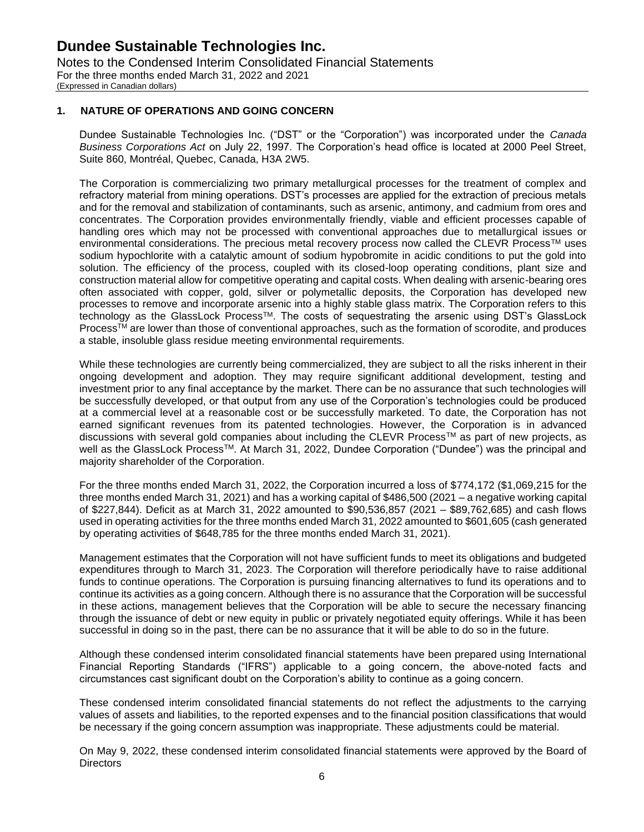### **1. NATURE OF OPERATIONS AND GOING CONCERN**

Dundee Sustainable Technologies Inc. ("DST" or the "Corporation") was incorporated under the *Canada Business Corporations Act* on July 22, 1997. The Corporation's head office is located at 2000 Peel Street, Suite 860, Montréal, Quebec, Canada, H3A 2W5.

The Corporation is commercializing two primary metallurgical processes for the treatment of complex and refractory material from mining operations. DST's processes are applied for the extraction of precious metals and for the removal and stabilization of contaminants, such as arsenic, antimony, and cadmium from ores and concentrates. The Corporation provides environmentally friendly, viable and efficient processes capable of handling ores which may not be processed with conventional approaches due to metallurgical issues or environmental considerations. The precious metal recovery process now called the CLEVR Process<sup>TM</sup> uses sodium hypochlorite with a catalytic amount of sodium hypobromite in acidic conditions to put the gold into solution. The efficiency of the process, coupled with its closed-loop operating conditions, plant size and construction material allow for competitive operating and capital costs. When dealing with arsenic-bearing ores often associated with copper, gold, silver or polymetallic deposits, the Corporation has developed new processes to remove and incorporate arsenic into a highly stable glass matrix. The Corporation refers to this technology as the GlassLock Process™. The costs of sequestrating the arsenic using DST's GlassLock Process™ are lower than those of conventional approaches, such as the formation of scorodite, and produces a stable, insoluble glass residue meeting environmental requirements.

While these technologies are currently being commercialized, they are subject to all the risks inherent in their ongoing development and adoption. They may require significant additional development, testing and investment prior to any final acceptance by the market. There can be no assurance that such technologies will be successfully developed, or that output from any use of the Corporation's technologies could be produced at a commercial level at a reasonable cost or be successfully marketed. To date, the Corporation has not earned significant revenues from its patented technologies. However, the Corporation is in advanced discussions with several gold companies about including the CLEVR Process™ as part of new projects, as well as the GlassLock ProcessTM. At March 31, 2022, Dundee Corporation ("Dundee") was the principal and majority shareholder of the Corporation.

For the three months ended March 31, 2022, the Corporation incurred a loss of \$774,172 (\$1,069,215 for the three months ended March 31, 2021) and has a working capital of \$486,500 (2021 – a negative working capital of \$227,844). Deficit as at March 31, 2022 amounted to \$90,536,857 (2021 – \$89,762,685) and cash flows used in operating activities for the three months ended March 31, 2022 amounted to \$601,605 (cash generated by operating activities of \$648,785 for the three months ended March 31, 2021).

Management estimates that the Corporation will not have sufficient funds to meet its obligations and budgeted expenditures through to March 31, 2023. The Corporation will therefore periodically have to raise additional funds to continue operations. The Corporation is pursuing financing alternatives to fund its operations and to continue its activities as a going concern. Although there is no assurance that the Corporation will be successful in these actions, management believes that the Corporation will be able to secure the necessary financing through the issuance of debt or new equity in public or privately negotiated equity offerings. While it has been successful in doing so in the past, there can be no assurance that it will be able to do so in the future.

Although these condensed interim consolidated financial statements have been prepared using International Financial Reporting Standards ("IFRS") applicable to a going concern, the above-noted facts and circumstances cast significant doubt on the Corporation's ability to continue as a going concern.

These condensed interim consolidated financial statements do not reflect the adjustments to the carrying values of assets and liabilities, to the reported expenses and to the financial position classifications that would be necessary if the going concern assumption was inappropriate. These adjustments could be material.

On May 9, 2022, these condensed interim consolidated financial statements were approved by the Board of **Directors**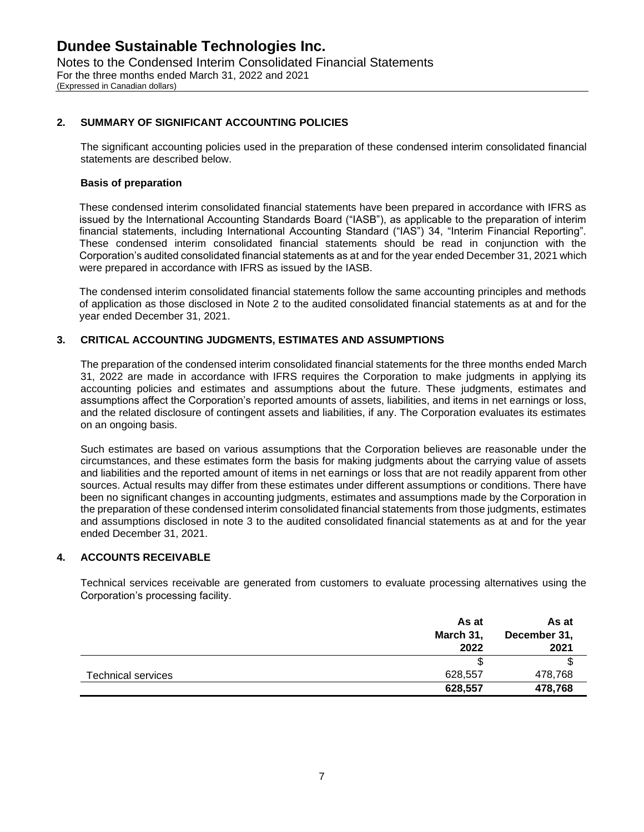### **2. SUMMARY OF SIGNIFICANT ACCOUNTING POLICIES**

The significant accounting policies used in the preparation of these condensed interim consolidated financial statements are described below.

#### **Basis of preparation**

These condensed interim consolidated financial statements have been prepared in accordance with IFRS as issued by the International Accounting Standards Board ("IASB"), as applicable to the preparation of interim financial statements, including International Accounting Standard ("IAS") 34, "Interim Financial Reporting". These condensed interim consolidated financial statements should be read in conjunction with the Corporation's audited consolidated financial statements as at and for the year ended December 31, 2021 which were prepared in accordance with IFRS as issued by the IASB.

The condensed interim consolidated financial statements follow the same accounting principles and methods of application as those disclosed in Note 2 to the audited consolidated financial statements as at and for the year ended December 31, 2021.

### **3. CRITICAL ACCOUNTING JUDGMENTS, ESTIMATES AND ASSUMPTIONS**

The preparation of the condensed interim consolidated financial statements for the three months ended March 31, 2022 are made in accordance with IFRS requires the Corporation to make judgments in applying its accounting policies and estimates and assumptions about the future. These judgments, estimates and assumptions affect the Corporation's reported amounts of assets, liabilities, and items in net earnings or loss, and the related disclosure of contingent assets and liabilities, if any. The Corporation evaluates its estimates on an ongoing basis.

Such estimates are based on various assumptions that the Corporation believes are reasonable under the circumstances, and these estimates form the basis for making judgments about the carrying value of assets and liabilities and the reported amount of items in net earnings or loss that are not readily apparent from other sources. Actual results may differ from these estimates under different assumptions or conditions. There have been no significant changes in accounting judgments, estimates and assumptions made by the Corporation in the preparation of these condensed interim consolidated financial statements from those judgments, estimates and assumptions disclosed in note 3 to the audited consolidated financial statements as at and for the year ended December 31, 2021.

### **4. ACCOUNTS RECEIVABLE**

Technical services receivable are generated from customers to evaluate processing alternatives using the Corporation's processing facility.

|                           | As at     | As at        |
|---------------------------|-----------|--------------|
|                           | March 31, | December 31, |
|                           | 2022      | 2021         |
|                           |           | ъ            |
| <b>Technical services</b> | 628,557   | 478,768      |
|                           | 628,557   | 478,768      |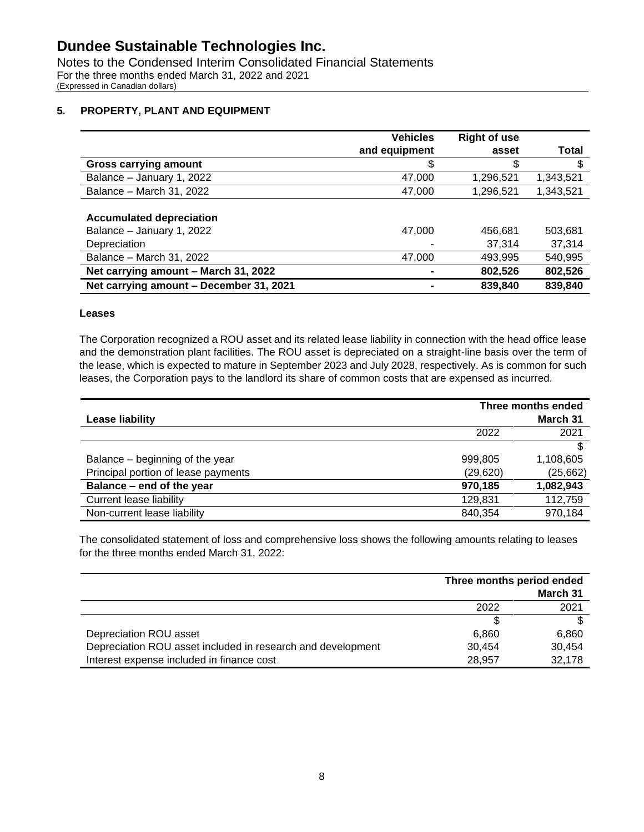Notes to the Condensed Interim Consolidated Financial Statements For the three months ended March 31, 2022 and 2021 (Expressed in Canadian dollars)

### **5. PROPERTY, PLANT AND EQUIPMENT**

|                                         | <b>Vehicles</b> | <b>Right of use</b> |           |
|-----------------------------------------|-----------------|---------------------|-----------|
|                                         | and equipment   | asset               | Total     |
| <b>Gross carrying amount</b>            | \$              | S                   | \$        |
| Balance - January 1, 2022               | 47,000          | 1,296,521           | 1,343,521 |
| Balance - March 31, 2022                | 47,000          | 1,296,521           | 1,343,521 |
|                                         |                 |                     |           |
| <b>Accumulated depreciation</b>         |                 |                     |           |
| Balance - January 1, 2022               | 47,000          | 456,681             | 503,681   |
| Depreciation                            |                 | 37.314              | 37,314    |
| Balance - March 31, 2022                | 47,000          | 493,995             | 540,995   |
| Net carrying amount - March 31, 2022    |                 | 802,526             | 802,526   |
| Net carrying amount - December 31, 2021 |                 | 839,840             | 839,840   |

### **Leases**

The Corporation recognized a ROU asset and its related lease liability in connection with the head office lease and the demonstration plant facilities. The ROU asset is depreciated on a straight-line basis over the term of the lease, which is expected to mature in September 2023 and July 2028, respectively. As is common for such leases, the Corporation pays to the landlord its share of common costs that are expensed as incurred.

|                                     | Three months ended |           |  |
|-------------------------------------|--------------------|-----------|--|
| Lease liability                     |                    | March 31  |  |
|                                     | 2022               | 2021      |  |
|                                     |                    | £.        |  |
| Balance – beginning of the year     | 999,805            | 1,108,605 |  |
| Principal portion of lease payments | (29, 620)          | (25, 662) |  |
| Balance - end of the year           | 970,185            | 1,082,943 |  |
| <b>Current lease liability</b>      | 129,831            | 112,759   |  |
| Non-current lease liability         | 840,354            | 970,184   |  |

The consolidated statement of loss and comprehensive loss shows the following amounts relating to leases for the three months ended March 31, 2022:

|                                                             | Three months period ended |          |  |
|-------------------------------------------------------------|---------------------------|----------|--|
|                                                             |                           | March 31 |  |
|                                                             | 2022                      | 2021     |  |
|                                                             |                           |          |  |
| Depreciation ROU asset                                      | 6,860                     | 6,860    |  |
| Depreciation ROU asset included in research and development | 30.454                    | 30.454   |  |
| Interest expense included in finance cost                   | 28.957                    | 32,178   |  |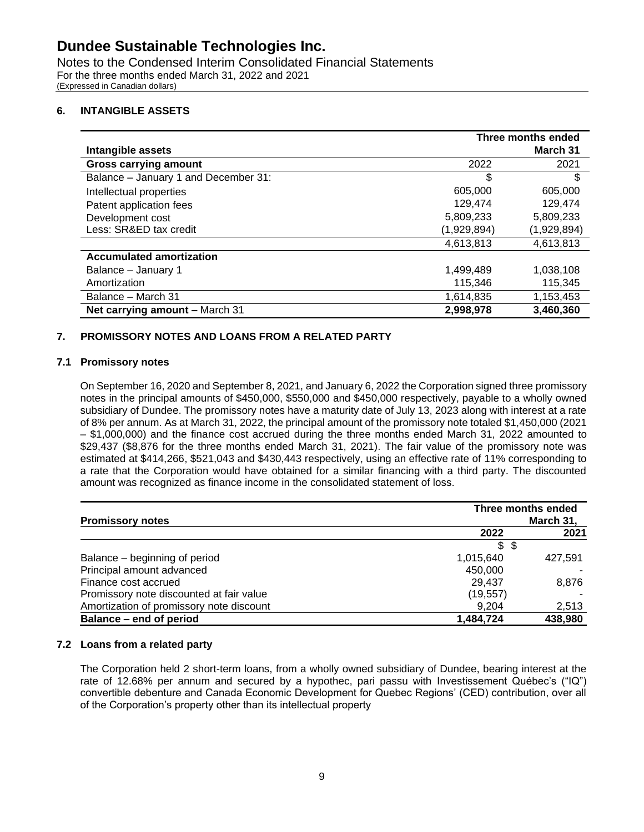Notes to the Condensed Interim Consolidated Financial Statements For the three months ended March 31, 2022 and 2021 (Expressed in Canadian dollars)

### **6. INTANGIBLE ASSETS**

|                                      | Three months ended |             |  |
|--------------------------------------|--------------------|-------------|--|
| Intangible assets                    |                    | March 31    |  |
| <b>Gross carrying amount</b>         | 2022               | 2021        |  |
| Balance - January 1 and December 31: | \$                 | \$          |  |
| Intellectual properties              | 605,000            | 605,000     |  |
| Patent application fees              | 129,474            | 129,474     |  |
| Development cost                     | 5,809,233          | 5,809,233   |  |
| Less: SR&ED tax credit               | (1,929,894)        | (1,929,894) |  |
|                                      | 4,613,813          | 4,613,813   |  |
| <b>Accumulated amortization</b>      |                    |             |  |
| Balance - January 1                  | 1,499,489          | 1,038,108   |  |
| Amortization                         | 115,346            | 115,345     |  |
| Balance - March 31                   | 1,614,835          | 1,153,453   |  |
| Net carrying amount - March 31       | 2,998,978          | 3,460,360   |  |

### **7. PROMISSORY NOTES AND LOANS FROM A RELATED PARTY**

### **7.1 Promissory notes**

On September 16, 2020 and September 8, 2021, and January 6, 2022 the Corporation signed three promissory notes in the principal amounts of \$450,000, \$550,000 and \$450,000 respectively, payable to a wholly owned subsidiary of Dundee. The promissory notes have a maturity date of July 13, 2023 along with interest at a rate of 8% per annum. As at March 31, 2022, the principal amount of the promissory note totaled \$1,450,000 (2021 – \$1,000,000) and the finance cost accrued during the three months ended March 31, 2022 amounted to \$29,437 (\$8,876 for the three months ended March 31, 2021). The fair value of the promissory note was estimated at \$414,266, \$521,043 and \$430,443 respectively, using an effective rate of 11% corresponding to a rate that the Corporation would have obtained for a similar financing with a third party. The discounted amount was recognized as finance income in the consolidated statement of loss.

| <b>Promissory notes</b>                  | Three months ended<br>March 31, |         |  |
|------------------------------------------|---------------------------------|---------|--|
|                                          | 2022                            | 2021    |  |
|                                          | \$\$                            |         |  |
| Balance – beginning of period            | 1,015,640                       | 427.591 |  |
| Principal amount advanced                | 450,000                         |         |  |
| Finance cost accrued                     | 29,437                          | 8,876   |  |
| Promissory note discounted at fair value | (19, 557)                       |         |  |
| Amortization of promissory note discount | 9.204                           | 2,513   |  |
| Balance - end of period                  | 1,484,724                       | 438,980 |  |

### **7.2 Loans from a related party**

The Corporation held 2 short-term loans, from a wholly owned subsidiary of Dundee, bearing interest at the rate of 12.68% per annum and secured by a hypothec, pari passu with Investissement Québec's ("IQ") convertible debenture and Canada Economic Development for Quebec Regions' (CED) contribution, over all of the Corporation's property other than its intellectual property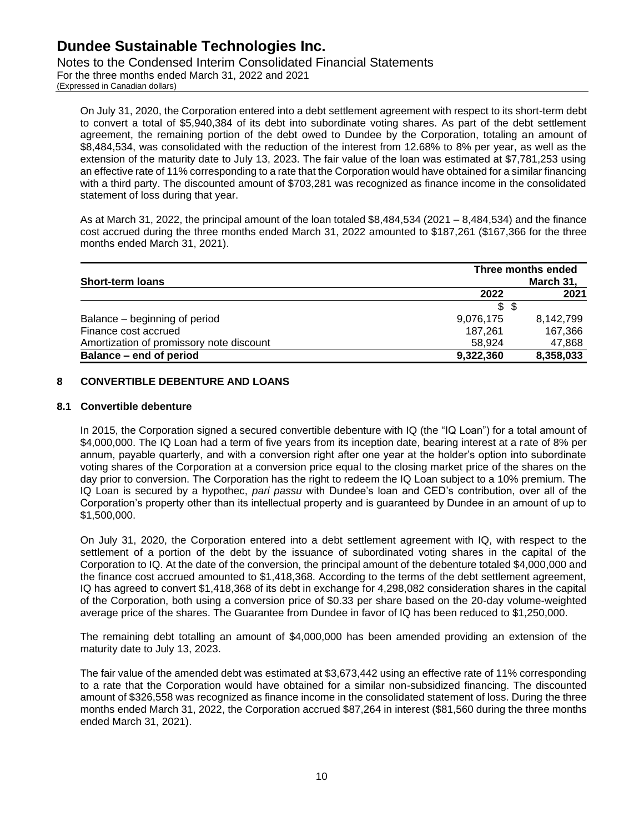Notes to the Condensed Interim Consolidated Financial Statements

For the three months ended March 31, 2022 and 2021 (Expressed in Canadian dollars)

On July 31, 2020, the Corporation entered into a debt settlement agreement with respect to its short-term debt to convert a total of \$5,940,384 of its debt into subordinate voting shares. As part of the debt settlement agreement, the remaining portion of the debt owed to Dundee by the Corporation, totaling an amount of \$8,484,534, was consolidated with the reduction of the interest from 12.68% to 8% per year, as well as the extension of the maturity date to July 13, 2023. The fair value of the loan was estimated at \$7,781,253 using an effective rate of 11% corresponding to a rate that the Corporation would have obtained for a similar financing with a third party. The discounted amount of \$703,281 was recognized as finance income in the consolidated statement of loss during that year.

As at March 31, 2022, the principal amount of the loan totaled \$8,484,534 (2021 – 8,484,534) and the finance cost accrued during the three months ended March 31, 2022 amounted to \$187,261 (\$167,366 for the three months ended March 31, 2021).

| <b>Short-term loans</b>                  |           | Three months ended<br>March 31, |  |
|------------------------------------------|-----------|---------------------------------|--|
|                                          | 2022      | 2021                            |  |
|                                          | \$5       |                                 |  |
| Balance – beginning of period            | 9,076,175 | 8,142,799                       |  |
| Finance cost accrued                     | 187.261   | 167,366                         |  |
| Amortization of promissory note discount | 58.924    | 47,868                          |  |
| Balance – end of period                  | 9,322,360 | 8,358,033                       |  |

### **8 CONVERTIBLE DEBENTURE AND LOANS**

### **8.1 Convertible debenture**

In 2015, the Corporation signed a secured convertible debenture with IQ (the "IQ Loan") for a total amount of \$4,000,000. The IQ Loan had a term of five years from its inception date, bearing interest at a rate of 8% per annum, payable quarterly, and with a conversion right after one year at the holder's option into subordinate voting shares of the Corporation at a conversion price equal to the closing market price of the shares on the day prior to conversion. The Corporation has the right to redeem the IQ Loan subject to a 10% premium. The IQ Loan is secured by a hypothec, *pari passu* with Dundee's loan and CED's contribution, over all of the Corporation's property other than its intellectual property and is guaranteed by Dundee in an amount of up to \$1,500,000.

On July 31, 2020, the Corporation entered into a debt settlement agreement with IQ, with respect to the settlement of a portion of the debt by the issuance of subordinated voting shares in the capital of the Corporation to IQ. At the date of the conversion, the principal amount of the debenture totaled \$4,000,000 and the finance cost accrued amounted to \$1,418,368. According to the terms of the debt settlement agreement, IQ has agreed to convert \$1,418,368 of its debt in exchange for 4,298,082 consideration shares in the capital of the Corporation, both using a conversion price of \$0.33 per share based on the 20-day volume-weighted average price of the shares. The Guarantee from Dundee in favor of IQ has been reduced to \$1,250,000.

The remaining debt totalling an amount of \$4,000,000 has been amended providing an extension of the maturity date to July 13, 2023.

The fair value of the amended debt was estimated at \$3,673,442 using an effective rate of 11% corresponding to a rate that the Corporation would have obtained for a similar non-subsidized financing. The discounted amount of \$326,558 was recognized as finance income in the consolidated statement of loss. During the three months ended March 31, 2022, the Corporation accrued \$87,264 in interest (\$81,560 during the three months ended March 31, 2021).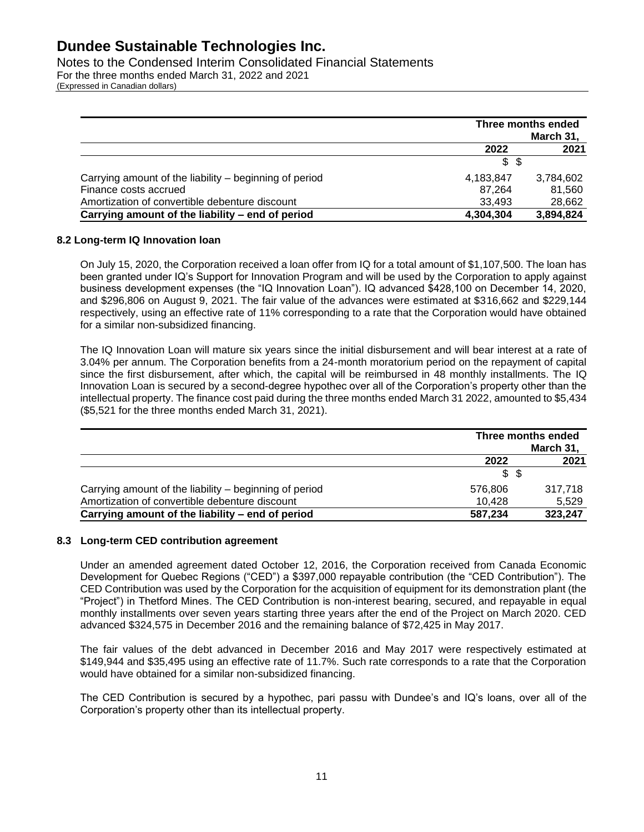Notes to the Condensed Interim Consolidated Financial Statements For the three months ended March 31, 2022 and 2021 (Expressed in Canadian dollars)

|                                                        | Three months ended<br>March 31, |           |
|--------------------------------------------------------|---------------------------------|-----------|
|                                                        | 2021<br>2022                    |           |
|                                                        | \$<br>- \$                      |           |
| Carrying amount of the liability – beginning of period | 4,183,847                       | 3,784,602 |
| Finance costs accrued                                  | 87.264                          | 81,560    |
| Amortization of convertible debenture discount         | 33.493                          | 28,662    |
| Carrying amount of the liability - end of period       | 4,304,304                       | 3,894,824 |

### **8.2 Long-term IQ Innovation loan**

On July 15, 2020, the Corporation received a loan offer from IQ for a total amount of \$1,107,500. The loan has been granted under IQ's Support for Innovation Program and will be used by the Corporation to apply against business development expenses (the "IQ Innovation Loan"). IQ advanced \$428,100 on December 14, 2020, and \$296,806 on August 9, 2021. The fair value of the advances were estimated at \$316,662 and \$229,144 respectively, using an effective rate of 11% corresponding to a rate that the Corporation would have obtained for a similar non-subsidized financing.

The IQ Innovation Loan will mature six years since the initial disbursement and will bear interest at a rate of 3.04% per annum. The Corporation benefits from a 24-month moratorium period on the repayment of capital since the first disbursement, after which, the capital will be reimbursed in 48 monthly installments. The IQ Innovation Loan is secured by a second-degree hypothec over all of the Corporation's property other than the intellectual property. The finance cost paid during the three months ended March 31 2022, amounted to \$5,434 (\$5,521 for the three months ended March 31, 2021).

|                                                        | Three months ended<br>March 31, |         |  |
|--------------------------------------------------------|---------------------------------|---------|--|
|                                                        | 2021<br>2022                    |         |  |
|                                                        | \$\$                            |         |  |
| Carrying amount of the liability – beginning of period | 576,806                         | 317.718 |  |
| Amortization of convertible debenture discount         | 10.428                          | 5,529   |  |
| Carrying amount of the liability – end of period       | 587,234                         | 323,247 |  |

### **8.3 Long-term CED contribution agreement**

Under an amended agreement dated October 12, 2016, the Corporation received from Canada Economic Development for Quebec Regions ("CED") a \$397,000 repayable contribution (the "CED Contribution"). The CED Contribution was used by the Corporation for the acquisition of equipment for its demonstration plant (the "Project") in Thetford Mines. The CED Contribution is non-interest bearing, secured, and repayable in equal monthly installments over seven years starting three years after the end of the Project on March 2020. CED advanced \$324,575 in December 2016 and the remaining balance of \$72,425 in May 2017.

The fair values of the debt advanced in December 2016 and May 2017 were respectively estimated at \$149,944 and \$35,495 using an effective rate of 11.7%. Such rate corresponds to a rate that the Corporation would have obtained for a similar non-subsidized financing.

The CED Contribution is secured by a hypothec, pari passu with Dundee's and IQ's loans, over all of the Corporation's property other than its intellectual property.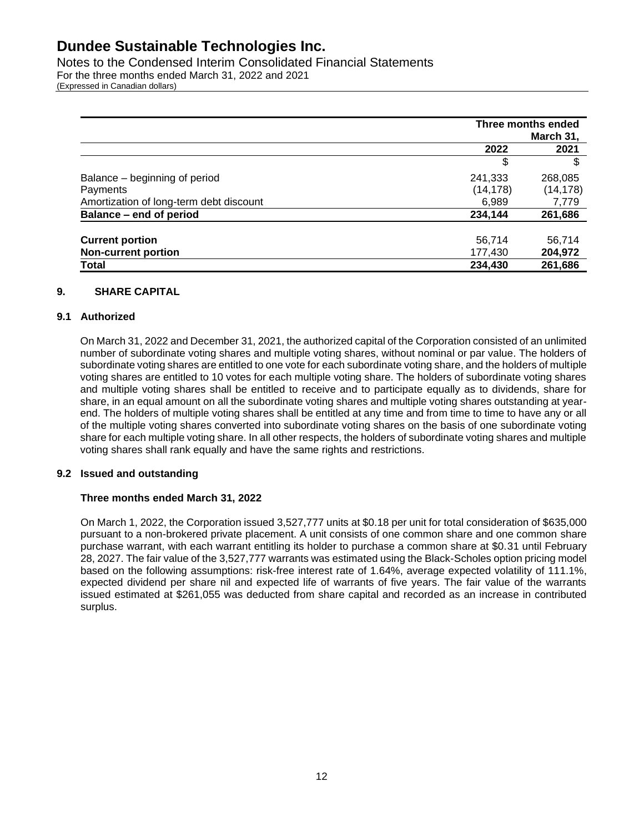Notes to the Condensed Interim Consolidated Financial Statements For the three months ended March 31, 2022 and 2021 (Expressed in Canadian dollars)

|                                         | Three months ended<br>March 31, |           |
|-----------------------------------------|---------------------------------|-----------|
|                                         | 2022                            | 2021      |
|                                         | \$                              | \$        |
| Balance - beginning of period           | 241,333                         | 268,085   |
| Payments                                | (14, 178)                       | (14, 178) |
| Amortization of long-term debt discount | 6,989                           | 7,779     |
| Balance - end of period                 | 234,144                         | 261,686   |
| <b>Current portion</b>                  | 56,714                          | 56,714    |
| <b>Non-current portion</b>              | 177,430                         | 204,972   |
| <b>Total</b>                            | 234,430                         | 261,686   |

### **9. SHARE CAPITAL**

### **9.1 Authorized**

On March 31, 2022 and December 31, 2021, the authorized capital of the Corporation consisted of an unlimited number of subordinate voting shares and multiple voting shares, without nominal or par value. The holders of subordinate voting shares are entitled to one vote for each subordinate voting share, and the holders of multiple voting shares are entitled to 10 votes for each multiple voting share. The holders of subordinate voting shares and multiple voting shares shall be entitled to receive and to participate equally as to dividends, share for share, in an equal amount on all the subordinate voting shares and multiple voting shares outstanding at yearend. The holders of multiple voting shares shall be entitled at any time and from time to time to have any or all of the multiple voting shares converted into subordinate voting shares on the basis of one subordinate voting share for each multiple voting share. In all other respects, the holders of subordinate voting shares and multiple voting shares shall rank equally and have the same rights and restrictions.

### **9.2 Issued and outstanding**

### **Three months ended March 31, 2022**

On March 1, 2022, the Corporation issued 3,527,777 units at \$0.18 per unit for total consideration of \$635,000 pursuant to a non-brokered private placement. A unit consists of one common share and one common share purchase warrant, with each warrant entitling its holder to purchase a common share at \$0.31 until February 28, 2027. The fair value of the 3,527,777 warrants was estimated using the Black-Scholes option pricing model based on the following assumptions: risk-free interest rate of 1.64%, average expected volatility of 111.1%, expected dividend per share nil and expected life of warrants of five years. The fair value of the warrants issued estimated at \$261,055 was deducted from share capital and recorded as an increase in contributed surplus.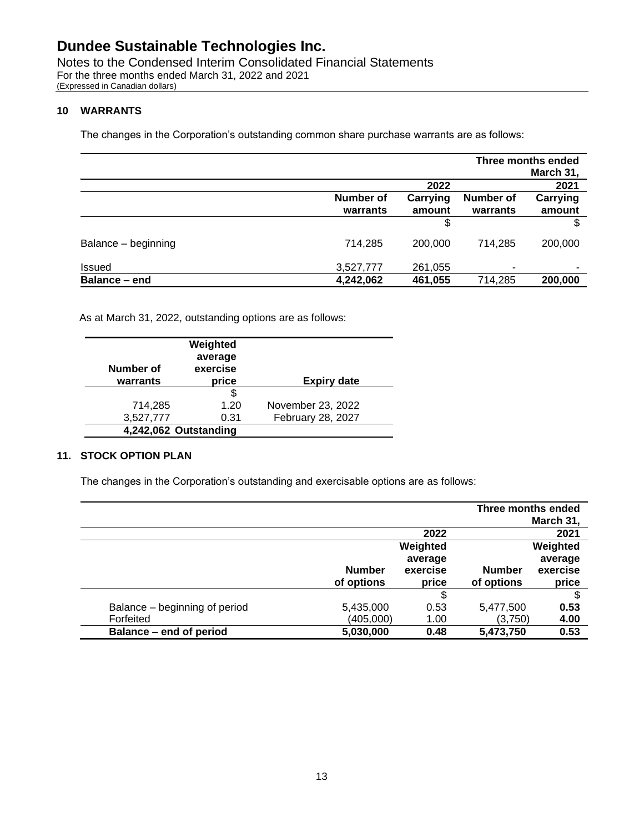Notes to the Condensed Interim Consolidated Financial Statements For the three months ended March 31, 2022 and 2021 (Expressed in Canadian dollars)

### **10 WARRANTS**

The changes in the Corporation's outstanding common share purchase warrants are as follows:

|                     | Three months ended |          |                          |                          |
|---------------------|--------------------|----------|--------------------------|--------------------------|
|                     |                    |          |                          | March 31,                |
|                     |                    | 2022     |                          | 2021                     |
|                     | <b>Number of</b>   | Carrying | Number of                | Carrying                 |
|                     | warrants           | amount   | warrants                 | amount                   |
|                     |                    | \$       |                          | \$.                      |
| Balance - beginning | 714,285            | 200,000  | 714.285                  | 200,000                  |
| <b>Issued</b>       | 3,527,777          | 261,055  | $\overline{\phantom{0}}$ | $\overline{\phantom{a}}$ |
| Balance - end       | 4,242,062          | 461,055  | 714,285                  | 200,000                  |

As at March 31, 2022, outstanding options are as follows:

| Number of             | Weighted<br>average<br>exercise |                    |
|-----------------------|---------------------------------|--------------------|
| warrants              | price                           | <b>Expiry date</b> |
|                       | \$                              |                    |
| 714,285               | 1.20                            | November 23, 2022  |
| 3,527,777             | 0.31                            | February 28, 2027  |
| 4,242,062 Outstanding |                                 |                    |

### **11. STOCK OPTION PLAN**

The changes in the Corporation's outstanding and exercisable options are as follows:

|                               |               |          | Three months ended | March 31, |
|-------------------------------|---------------|----------|--------------------|-----------|
|                               |               | 2022     |                    | 2021      |
|                               |               | Weighted |                    | Weighted  |
|                               |               | average  |                    | average   |
|                               | <b>Number</b> | exercise | <b>Number</b>      | exercise  |
|                               | of options    | price    | of options         | price     |
|                               |               | \$       |                    | \$        |
| Balance - beginning of period | 5,435,000     | 0.53     | 5,477,500          | 0.53      |
| Forfeited                     | (405,000)     | 1.00     | (3,750)            | 4.00      |
| Balance - end of period       | 5,030,000     | 0.48     | 5,473,750          | 0.53      |